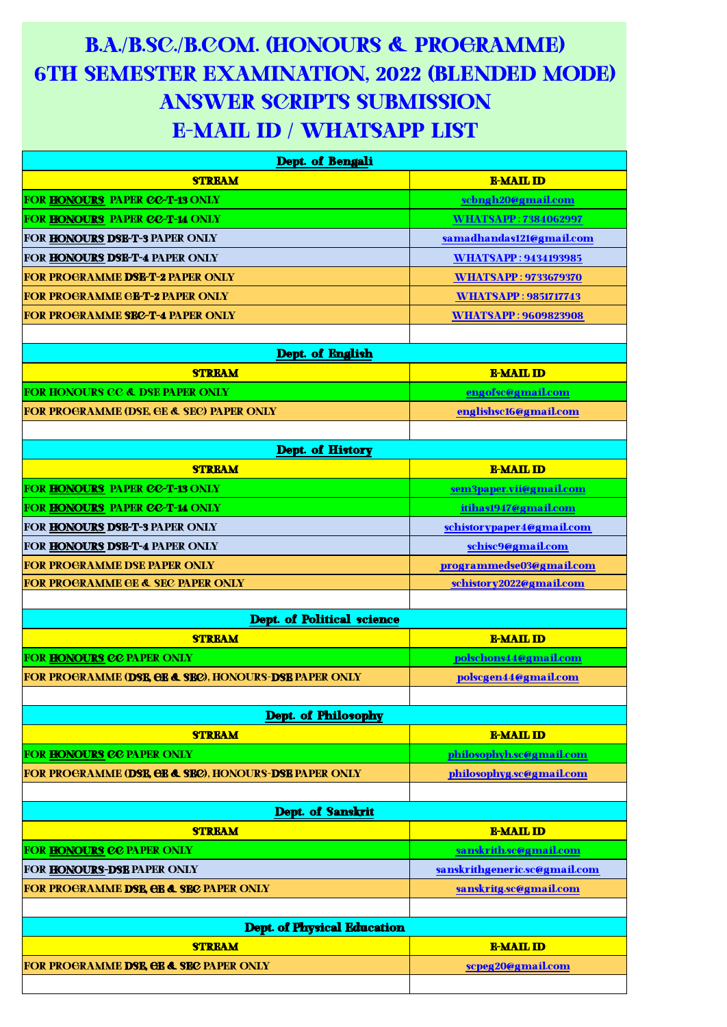## B.A./B.SC./B.COM. (HONOURS & PROGRAMME) 6TH SEMESTER EXAMINATION, 2022 (BLENDED MODE) ANSWER SCRIPTS SUBMISSION E-MAIL ID / WHATSAPP LIST

| Dept. of Bengali                                                 |                               |
|------------------------------------------------------------------|-------------------------------|
| <b>STREAM</b>                                                    | <b>E-MAIL ID</b>              |
| <b>FOR HONOURS PAPER CC-T-13 ONLY</b>                            | scbngh20@gmail.com            |
| <b>FOR HONOURS PAPER CC-T-14 ONLY</b>                            | <b>WHATSAPP: 7384062997</b>   |
| FOR HONOURS DSE-T-3 PAPER ONLY                                   | samadhandas121@gmail.com      |
| FOR HONOURS DSE-T-4 PAPER ONLY                                   | <b>WHATSAPP: 9434193985</b>   |
| <b>FOR PROGRAMME DSE-T-2 PAPER ONLY</b>                          | <b>WHATSAPP: 9733679370</b>   |
| <b>FOR PROGRAMME GE-T-2 PAPER ONLY</b>                           | <b>WHATSAPP: 9851717743</b>   |
| <b>FOR PROGRAMME SEC-T-4 PAPER ONLY</b>                          | <b>WHATSAPP: 9609823908</b>   |
|                                                                  |                               |
| Dept. of English                                                 |                               |
| <b>STREAM</b>                                                    | <b>E-MAIL ID</b>              |
| <b>FOR HONOURS CC &amp; DSE PAPER ONLY</b>                       | engofsc@gmail.com             |
| <b>FOR PROGRAMME (DSE, GE &amp; SEC) PAPER ONLY</b>              | englishsc16@gmail.com         |
|                                                                  |                               |
| Dept. of History                                                 |                               |
| <b>STREAM</b>                                                    | <b>E-MAIL ID</b>              |
| FOR HONOURS PAPER CC-T-13 ONLY                                   | sem3paper.vii@gmail.com       |
| FOR HONOURS PAPER CC-T-14 ONLY                                   | itihas1947@gmail.com          |
| <b>FOR HONOURS DSE-T-3 PAPER ONLY</b>                            | schistorypaper4@gmail.com     |
| <b>FOR HONOURS DSE-T-4 PAPER ONLY</b>                            | schisc9@gmail.com             |
| <b>FOR PROGRAMME DSE PAPER ONLY</b>                              | programmedse03@gmail.com      |
| <b>FOR PROGRAMME GE &amp; SEC PAPER ONLY</b>                     | schistory2022@gmail.com       |
|                                                                  |                               |
| <b>Dept. of Political science</b><br><b>STREAM</b>               | <b>E-MAIL ID</b>              |
| <b>FOR HONOURS CC PAPER ONLY</b>                                 | polschons44@gmail.com         |
| <b>FOR PROGRAMME (DSE, GE &amp; SEC), HONOURS-DSE PAPER ONLY</b> | polscgen44@gmail.com          |
|                                                                  |                               |
| <b>Dept. of Philosophy</b>                                       |                               |
| <b>STREAM</b>                                                    | <b>E-MAIL ID</b>              |
| FOR HONOURS CC PAPER ONLY                                        | philosophyh.sc@gmail.com      |
| <b>FOR PROGRAMME (DSE, GE &amp; SEC), HONOURS-DSE PAPER ONLY</b> | philosophyg.sc@gmail.com      |
|                                                                  |                               |
| Dept. of Sanskrit                                                |                               |
| <b>STREAM</b>                                                    | <b>E-MAIL ID</b>              |
| FOR HONOURS CC PAPER ONLY                                        | sanskrith.sc@gmail.com        |
| FOR HONOURS-DSE PAPER ONLY                                       | sanskrithgeneric.sc@gmail.com |
| <b>FOR PROGRAMME DSE, GE &amp; SEC PAPER ONLY</b>                | sanskritg.sc@gmail.com        |
|                                                                  |                               |
| <b>Dept. of Physical Education</b>                               |                               |
| <b>STREAM</b>                                                    | <b>E-MAIL ID</b>              |
| <b>FOR PROGRAMME DSE, GE &amp; SEC PAPER ONLY</b>                | scpeg20@gmail.com             |
|                                                                  |                               |